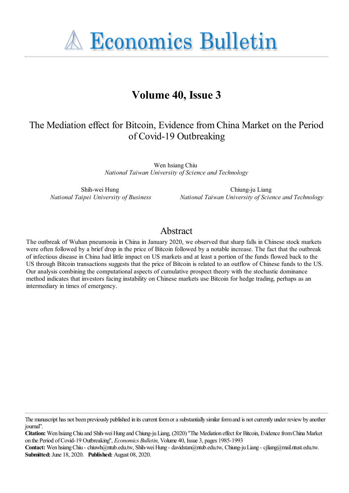**A Economics Bulletin** 

# **Volume 40, Issue 3**

# The Mediation effect for Bitcoin, Evidence from China Market on the Period of Covid-19 Outbreaking

Wen hsiang Chiu *National Taiwan University of Science and Technology*

Shih-wei Hung *National Taipei University of Business*

Chiung-ju Liang *National Taiwan University of Science and Technology*

# Abstract

The outbreak of Wuhan pneumonia in China in January 2020, we observed that sharp falls in Chinese stock markets were often followed by a brief drop in the price of Bitcoin followed by a notable increase. The fact that the outbreak of infectious disease in China had little impact on US markets and at least a portion of the funds flowed back to the US through Bitcoin transactions suggests that the price of Bitcoin is related to an outflow of Chinese funds to the US. Our analysis combining the computational aspects of cumulative prospect theory with the stochastic dominance method indicates that investors facing instability on Chinese markets use Bitcoin for hedge trading, perhaps as an intermediary in times of emergency.

**Citation:** Wen hsiang Chiu and Shih-wei Hung and Chiung-ju Liang, (2020) ''The Mediation effect for Bitcoin, Evidence from China Market on the Period of Covid-19 Outbreaking'', *Economics Bulletin*, Volume 40, Issue 3, pages 1985-1993

**Contact:** Wen hsiang Chiu - chiuwh@ntub.edu.tw, Shih-wei Hung - davidstan@ntub.edu.tw, Chiung-ju Liang - cjliang@mail.ntust.edu.tw. **Submitted:** June 18, 2020. **Published:** August 08, 2020.

The manuscript has not been previously published in its current form or a substantially similar form and is not currently under review by another journal".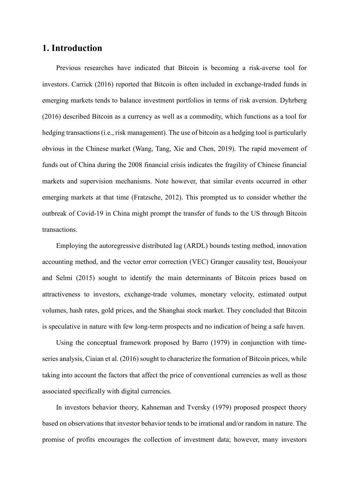# **1. Introduction**

Previous researches have indicated that Bitcoin is becoming a risk-averse tool for investors. Carrick (2016) reported that Bitcoin is often included in exchange-traded funds in emerging markets tends to balance investment portfolios in terms of risk aversion. Dyhrberg (2016) described Bitcoin as a currency as well as a commodity, which functions as a tool for hedging transactions (i.e., risk management). The use of bitcoin as a hedging tool is particularly obvious in the Chinese market (Wang, Tang, Xie and Chen, 2019). The rapid movement of funds out of China during the 2008 financial crisis indicates the fragility of Chinese financial markets and supervision mechanisms. Note however, that similar events occurred in other emerging markets at that time (Fratzsche, 2012). This prompted us to consider whether the outbreak of Covid-19 in China might prompt the transfer of funds to the US through Bitcoin transactions.

Employing the autoregressive distributed lag (ARDL) bounds testing method, innovation accounting method, and the vector error correction (VEC) Granger causality test, Bouoiyour and Selmi (2015) sought to identify the main determinants of Bitcoin prices based on attractiveness to investors, exchange-trade volumes, monetary velocity, estimated output volumes, hash rates, gold prices, and the Shanghai stock market. They concluded that Bitcoin is speculative in nature with few long-term prospects and no indication of being a safe haven.

Using the conceptual framework proposed by Barro (1979) in conjunction with timeseries analysis, Ciaian et al. (2016) sought to characterize the formation of Bitcoin prices, while taking into account the factors that affect the price of conventional currencies as well as those associated specifically with digital currencies.

In investors behavior theory, Kahneman and Tversky (1979) proposed prospect theory based on observations that investor behavior tends to be irrational and/or random in nature. The promise of profits encourages the collection of investment data; however, many investors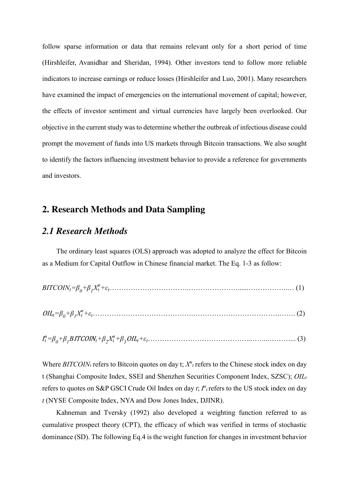follow sparse information or data that remains relevant only for a short period of time (Hirshleifer, Avanidhar and Sheridan, 1994). Other investors tend to follow more reliable indicators to increase earnings or reduce losses (Hirshleifer and Luo, 2001). Many researchers have examined the impact of emergencies on the international movement of capital; however, the effects of investor sentiment and virtual currencies have largely been overlooked. Our objective in the current study was to determine whether the outbreak of infectious disease could prompt the movement of funds into US markets through Bitcoin transactions. We also sought to identify the factors influencing investment behavior to provide a reference for governments and investors.

# **2. Research Methods and Data Sampling**

### *2.1 Research Methods*

The ordinary least squares (OLS) approach was adopted to analyze the effect for Bitcoin as a Medium for Capital Outflow in Chinese financial market. The Eq. 1-3 as follow:

OIL*t=ȕ<sup>0</sup> +ȕ<sup>1</sup> Xt <sup>n</sup>+İt*…………………………………….……………………………….……. (2)

*It <sup>n</sup>=ȕ<sup>0</sup> +ȕ<sup>1</sup> B*ITCOIN*t+ȕ<sup>β</sup> Xt <sup>n</sup>+ȕ<sup>γ</sup>* OIL*t+İt*……………………………………..……...………... (3)

Where  $BITCOIN<sub>t</sub>$  refers to Bitcoin quotes on day t;  $X<sup>n</sup><sub>t</sub>$  refers to the Chinese stock index on day t (Shanghai Composite Index, SSEI and Shenzhen Securities Component Index, SZSC);  $OIL_t$ refers to quotes on S&P GSCI Crude Oil Index on day *t*;  $I^n$ <sub>t</sub> refers to the US stock index on day *t* (NYSE Composite Index, NYA and Dow Jones Index, DJINR).

Kahneman and Tversky (1992) also developed a weighting function referred to as cumulative prospect theory (CPT), the efficacy of which was verified in terms of stochastic dominance (SD). The following Eq.4 is the weight function for changes in investment behavior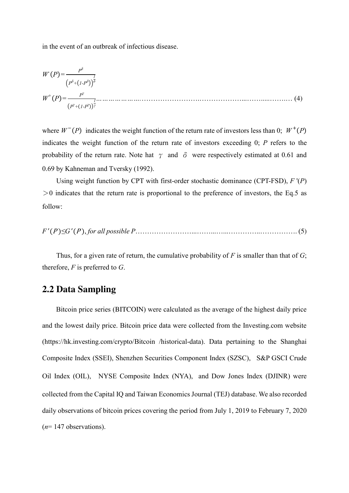in the event of an outbreak of infectious disease.

$$
W(P) = \frac{P^{\delta}}{(P^{\delta} + (1 - P^{\delta}))^{\frac{1}{\delta}}}
$$
  
 
$$
W^{+}(P) = \frac{P^{\gamma}}{(P^{\gamma} + (1 - P^{\gamma}))^{\frac{1}{\gamma}}}
$$
 (4)

where  $W^{-}(P)$  indicates the weight function of the return rate of investors less than 0;  $W^{+}(P)$ indicates the weight function of the return rate of investors exceeding 0; *P* refers to the probability of the return rate. Note hat  $\gamma$  and  $\delta$  were respectively estimated at 0.61 and 0.69 by Kahneman and Tversky (1992).

Using weight function by CPT with first-order stochastic dominance (CPT-FSD), *F* '(*P*)  $>0$  indicates that the return rate is proportional to the preference of investors, the Eq.5 as follow:

*F*' ሺ<sup>P</sup>ሻ*≤G*' ሺ<sup>P</sup>ሻ, *for all possible P*……………………...……...…...…………..……………. (5)

Thus, for a given rate of return, the cumulative probability of *F* is smaller than that of *G*; therefore, *F* is preferred to *G*.

# **2.2 Data Sampling**

Bitcoin price series (BITCOIN) were calculated as the average of the highest daily price and the lowest daily price. Bitcoin price data were collected from the Investing.com website (https://hk.investing.com/crypto/Bitcoin /historical-data). Data pertaining to the Shanghai Composite Index (SSEI), Shenzhen Securities Component Index (SZSC), S&P GSCI Crude Oil Index (OIL), NYSE Composite Index (NYA), and Dow Jones Index (DJINR) were collected from the Capital IQ and Taiwan Economics Journal (TEJ) database. We also recorded daily observations of bitcoin prices covering the period from July 1, 2019 to February 7, 2020 (*n*= 147 observations).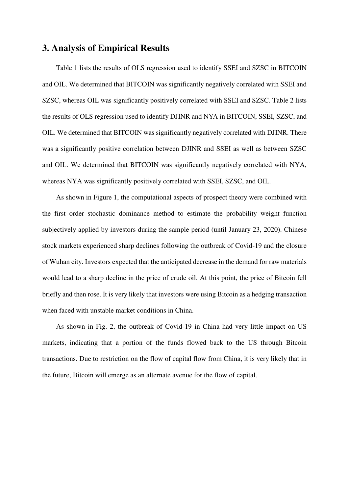# **3. Analysis of Empirical Results**

Table 1 lists the results of OLS regression used to identify SSEI and SZSC in BITCOIN and OIL. We determined that BITCOIN was significantly negatively correlated with SSEI and SZSC, whereas OIL was significantly positively correlated with SSEI and SZSC. Table 2 lists the results of OLS regression used to identify DJINR and NYA in BITCOIN, SSEI, SZSC, and OIL. We determined that BITCOIN was significantly negatively correlated with DJINR. There was a significantly positive correlation between DJINR and SSEI as well as between SZSC and OIL. We determined that BITCOIN was significantly negatively correlated with NYA, whereas NYA was significantly positively correlated with SSEI, SZSC, and OIL.

As shown in Figure 1, the computational aspects of prospect theory were combined with the first order stochastic dominance method to estimate the probability weight function subjectively applied by investors during the sample period (until January 23, 2020). Chinese stock markets experienced sharp declines following the outbreak of Covid-19 and the closure of Wuhan city. Investors expected that the anticipated decrease in the demand for raw materials would lead to a sharp decline in the price of crude oil. At this point, the price of Bitcoin fell briefly and then rose. It is very likely that investors were using Bitcoin as a hedging transaction when faced with unstable market conditions in China.

As shown in Fig. 2, the outbreak of Covid-19 in China had very little impact on US markets, indicating that a portion of the funds flowed back to the US through Bitcoin transactions. Due to restriction on the flow of capital flow from China, it is very likely that in the future, Bitcoin will emerge as an alternate avenue for the flow of capital.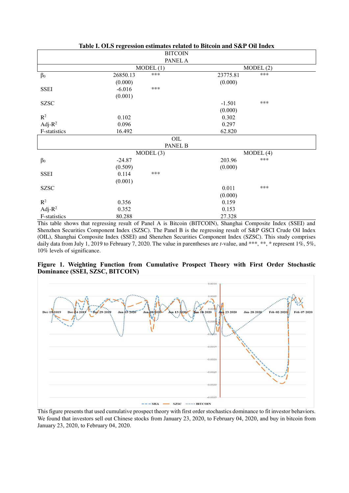|                | $\frac{1}{2}$ | <b>BITCOIN</b> |          |          |  |  |
|----------------|---------------|----------------|----------|----------|--|--|
|                |               | PANEL A        |          |          |  |  |
|                |               | MODEL(1)       |          | MODEL(2) |  |  |
| $\beta_0$      | 26850.13      | ***            | 23775.81 | ***      |  |  |
|                | (0.000)       |                | (0.000)  |          |  |  |
| <b>SSEI</b>    | $-6.016$      | ***            |          |          |  |  |
|                | (0.001)       |                |          |          |  |  |
| <b>SZSC</b>    |               |                | $-1.501$ | ***      |  |  |
|                |               |                | (0.000)  |          |  |  |
| $\mathbb{R}^2$ | 0.102         |                | 0.302    |          |  |  |
| Adj- $R^2$     | 0.096         |                | 0.297    |          |  |  |
| F-statistics   | 16.492        |                | 62.820   |          |  |  |
|                |               | $\rm OIL$      |          |          |  |  |
|                |               | PANEL B        |          |          |  |  |
|                |               | MODEL(3)       |          | MODEL(4) |  |  |
| $\beta_0$      | $-24.87$      |                | 203.96   | ***      |  |  |
|                | (0.509)       |                | (0.000)  |          |  |  |
| <b>SSEI</b>    | 0.114         | ***            |          |          |  |  |
|                | (0.001)       |                |          |          |  |  |
| <b>SZSC</b>    |               |                | 0.011    | ***      |  |  |
|                |               |                | (0.000)  |          |  |  |
| $\mathbb{R}^2$ | 0.356         |                | 0.159    |          |  |  |
| Adj- $R^2$     | 0.352         |                | 0.153    |          |  |  |
| F-statistics   | 80.288        |                | 27.328   |          |  |  |

**Table I. OLS regression estimates related to Bitcoin and S&P Oil Index** 

This table shows that regressing result of Panel A is Bitcoin (BITCOIN), Shanghai Composite Index (SSEI) and Shenzhen Securities Component Index (SZSC). The Panel B is the regressing result of S&P GSCI Crude Oil Index (OIL), Shanghai Composite Index (SSEI) and Shenzhen Securities Component Index (SZSC). This study comprises daily data from July 1, 2019 to February 7, 2020. The value in parentheses are *t*-value, and \*\*\*, \*\*, \* represent 1%, 5%, 10% levels of significance.

**Figure 1. Weighting Function from Cumulative Prospect Theory with First Order Stochastic Dominance (SSEI, SZSC, BITCOIN)**



This figure presents that used cumulative prospect theory with first order stochastics dominance to fit investor behaviors. We found that investors sell out Chinese stocks from January 23, 2020, to February 04, 2020, and buy in bitcoin from January 23, 2020, to February 04, 2020.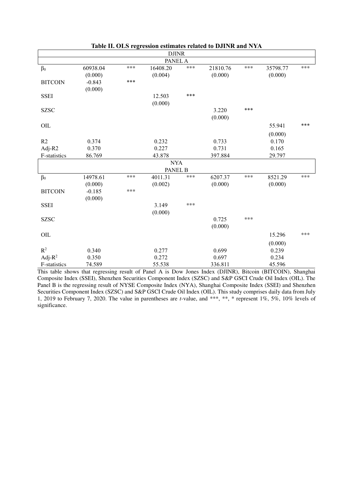|                |          |     | $\rm{DJINR}$ |     |          |     |          |     |  |
|----------------|----------|-----|--------------|-----|----------|-----|----------|-----|--|
| PANEL A        |          |     |              |     |          |     |          |     |  |
| $\beta_0$      | 60938.04 | *** | 16408.20     | *** | 21810.76 | *** | 35798.77 | *** |  |
|                | (0.000)  |     | (0.004)      |     | (0.000)  |     | (0.000)  |     |  |
| <b>BITCOIN</b> | $-0.843$ | *** |              |     |          |     |          |     |  |
|                | (0.000)  |     |              |     |          |     |          |     |  |
| <b>SSEI</b>    |          |     | 12.503       | *** |          |     |          |     |  |
|                |          |     | (0.000)      |     |          |     |          |     |  |
| <b>SZSC</b>    |          |     |              |     | 3.220    | *** |          |     |  |
|                |          |     |              |     | (0.000)  |     |          |     |  |
| OIL            |          |     |              |     |          |     | 55.941   | *** |  |
|                |          |     |              |     |          |     | (0.000)  |     |  |
| R2             | 0.374    |     | 0.232        |     | 0.733    |     | 0.170    |     |  |
| Adj-R2         | 0.370    |     | 0.227        |     | 0.731    |     | 0.165    |     |  |
| F-statistics   | 86.769   |     | 43.878       |     | 397.884  |     | 29.797   |     |  |
|                |          |     | <b>NYA</b>   |     |          |     |          |     |  |
|                |          |     | PANEL B      |     |          |     |          |     |  |
| $\beta_0$      | 14978.61 | *** | 4011.31      | *** | 6207.37  | *** | 8521.29  | *** |  |
|                | (0.000)  |     | (0.002)      |     | (0.000)  |     | (0.000)  |     |  |
| <b>BITCOIN</b> | $-0.185$ | *** |              |     |          |     |          |     |  |
|                | (0.000)  |     |              |     |          |     |          |     |  |
| <b>SSEI</b>    |          |     | 3.149        | *** |          |     |          |     |  |
|                |          |     | (0.000)      |     |          |     |          |     |  |
| <b>SZSC</b>    |          |     |              |     | 0.725    | *** |          |     |  |
|                |          |     |              |     | (0.000)  |     |          |     |  |
| OIL            |          |     |              |     |          |     | 15.296   | *** |  |
|                |          |     |              |     |          |     | (0.000)  |     |  |
| $\mathbb{R}^2$ | 0.340    |     | 0.277        |     | 0.699    |     | 0.239    |     |  |
| Adj- $R^2$     | 0.350    |     | 0.272        |     | 0.697    |     | 0.234    |     |  |
| F-statistics   | 74.589   |     | 55.538       |     | 336.811  |     | 45.596   |     |  |

**Table II. OLS regression estimates related to DJINR and NYA**

This table shows that regressing result of Panel A is Dow Jones Index (DJINR), Bitcoin (BITCOIN), Shanghai Composite Index (SSEI), Shenzhen Securities Component Index (SZSC) and S&P GSCI Crude Oil Index (OIL). The Panel B is the regressing result of NYSE Composite Index (NYA), Shanghai Composite Index (SSEI) and Shenzhen Securities Component Index (SZSC) and S&P GSCI Crude Oil Index (OIL). This study comprises daily data from July 1, 2019 to February 7, 2020. The value in parentheses are *t*-value, and \*\*\*, \*\*, \* represent 1%, 5%, 10% levels of significance.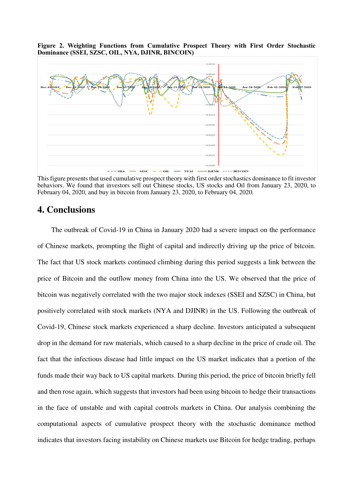**Figure 2. Weighting Functions from Cumulative Prospect Theory with First Order Stochastic Dominance (SSEI, SZSC, OIL, NYA, DJINR, BINCOIN)**



This figure presents that used cumulative prospect theory with first order stochastics dominance to fit investor behaviors. We found that investors sell out Chinese stocks, US stocks and Oil from January 23, 2020, to February 04, 2020, and buy in bitcoin from January 23, 2020, to February 04, 2020.

## **4. Conclusions**

The outbreak of Covid-19 in China in January 2020 had a severe impact on the performance of Chinese markets, prompting the flight of capital and indirectly driving up the price of bitcoin. The fact that US stock markets continued climbing during this period suggests a link between the price of Bitcoin and the outflow money from China into the US. We observed that the price of bitcoin was negatively correlated with the two major stock indexes (SSEI and SZSC) in China, but positively correlated with stock markets (NYA and DJINR) in the US. Following the outbreak of Covid-19, Chinese stock markets experienced a sharp decline. Investors anticipated a subsequent drop in the demand for raw materials, which caused to a sharp decline in the price of crude oil. The fact that the infectious disease had little impact on the US market indicates that a portion of the funds made their way back to US capital markets. During this period, the price of bitcoin briefly fell and then rose again, which suggests that investors had been using bitcoin to hedge their transactions in the face of unstable and with capital controls markets in China. Our analysis combining the computational aspects of cumulative prospect theory with the stochastic dominance method indicates that investors facing instability on Chinese markets use Bitcoin for hedge trading, perhaps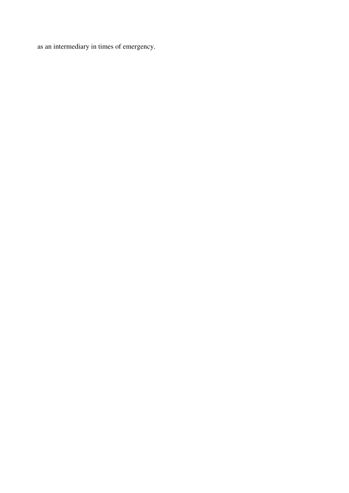as an intermediary in times of emergency.